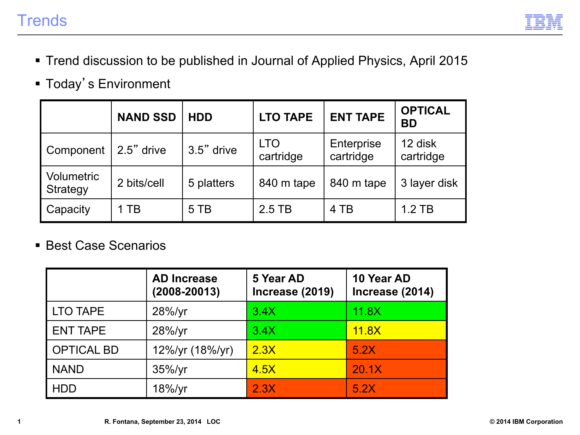

- § Trend discussion to be published in Journal of Applied Physics, April 2015
- § Today's Environment

|                        | <b>NAND SSD</b> | <b>HDD</b>   | <b>LTO TAPE</b>         | <b>ENT TAPE</b>         | <b>OPTICAL</b><br><b>BD</b> |
|------------------------|-----------------|--------------|-------------------------|-------------------------|-----------------------------|
| Component              | $2.5"$ drive    | $3.5"$ drive | <b>LTO</b><br>cartridge | Enterprise<br>cartridge | 12 disk<br>cartridge        |
| Volumetric<br>Strategy | 2 bits/cell     | 5 platters   | 840 m tape              | 840 m tape              | 3 layer disk                |
| Capacity               | 1 TB            | 5 TB         | $2.5$ TB                | 4 TB                    | $1.2$ TB                    |

## ■ Best Case Scenarios

|                   | <b>AD Increase</b><br>$(2008 - 20013)$ | 5 Year AD<br>Increase (2019) | 10 Year AD<br>Increase (2014) |
|-------------------|----------------------------------------|------------------------------|-------------------------------|
| <b>LTO TAPE</b>   | 28%/yr                                 | 3.4X                         | 11.8X                         |
| <b>ENT TAPE</b>   | 28%/yr                                 | 3.4X                         | <b>11.8X</b>                  |
| <b>OPTICAL BD</b> | 12%/yr (18%/yr)                        | 2.3X                         | 5.2X                          |
| <b>NAND</b>       | $35\%$ /yr                             | 4.5X                         | 20.1X                         |
| <b>HDD</b>        | $18\%$ /yr                             | 2.3X                         | 5.2X                          |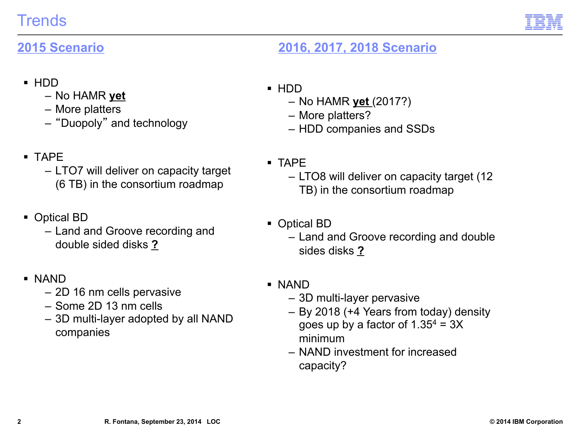

## **2015 Scenario**

## **2016, 2017, 2018 Scenario**

- § HDD
	- No HAMR **yet**
	- More platters
	- "Duopoly" and technology
- § TAPE
	- LTO7 will deliver on capacity target (6 TB) in the consortium roadmap
- Optical BD
	- Land and Groove recording and double sided disks **?**
- § NAND
	- 2D 16 nm cells pervasive
	- Some 2D 13 nm cells
	- 3D multi-layer adopted by all NAND companies
- § HDD
	- No HAMR **yet** (2017?)
	- More platters?
	- HDD companies and SSDs
- § TAPE
	- LTO8 will deliver on capacity target (12 TB) in the consortium roadmap
- Optical BD
	- Land and Groove recording and double sides disks **?**
- § NAND
	- 3D multi-layer pervasive
	- By 2018 (+4 Years from today) density goes up by a factor of  $1.35^4 = 3X$ minimum
	- NAND investment for increased capacity?